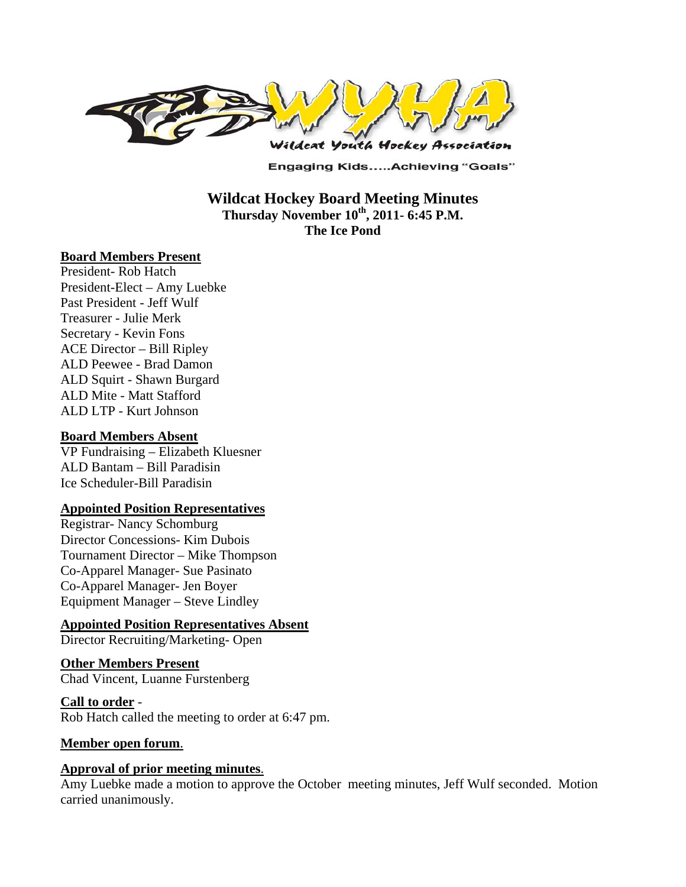

**Engaging Kids.....Achieving "Goals"** 

**Wildcat Hockey Board Meeting Minutes**  Thursday November 10<sup>th</sup>, 2011- 6:45 P.M. **The Ice Pond** 

#### **Board Members Present**

President- Rob Hatch President-Elect – Amy Luebke Past President - Jeff Wulf Treasurer - Julie Merk Secretary - Kevin Fons ACE Director – Bill Ripley ALD Peewee - Brad Damon ALD Squirt - Shawn Burgard ALD Mite - Matt Stafford ALD LTP - Kurt Johnson

#### **Board Members Absent**

VP Fundraising – Elizabeth Kluesner ALD Bantam – Bill Paradisin Ice Scheduler-Bill Paradisin

#### **Appointed Position Representatives**

Registrar- Nancy Schomburg Director Concessions- Kim Dubois Tournament Director – Mike Thompson Co-Apparel Manager- Sue Pasinato Co-Apparel Manager- Jen Boyer Equipment Manager – Steve Lindley

#### **Appointed Position Representatives Absent**

Director Recruiting/Marketing- Open

#### **Other Members Present**  Chad Vincent, Luanne Furstenberg

#### **Call to order** -

Rob Hatch called the meeting to order at 6:47 pm.

#### **Member open forum**.

#### **Approval of prior meeting minutes**.

Amy Luebke made a motion to approve the October meeting minutes, Jeff Wulf seconded. Motion carried unanimously.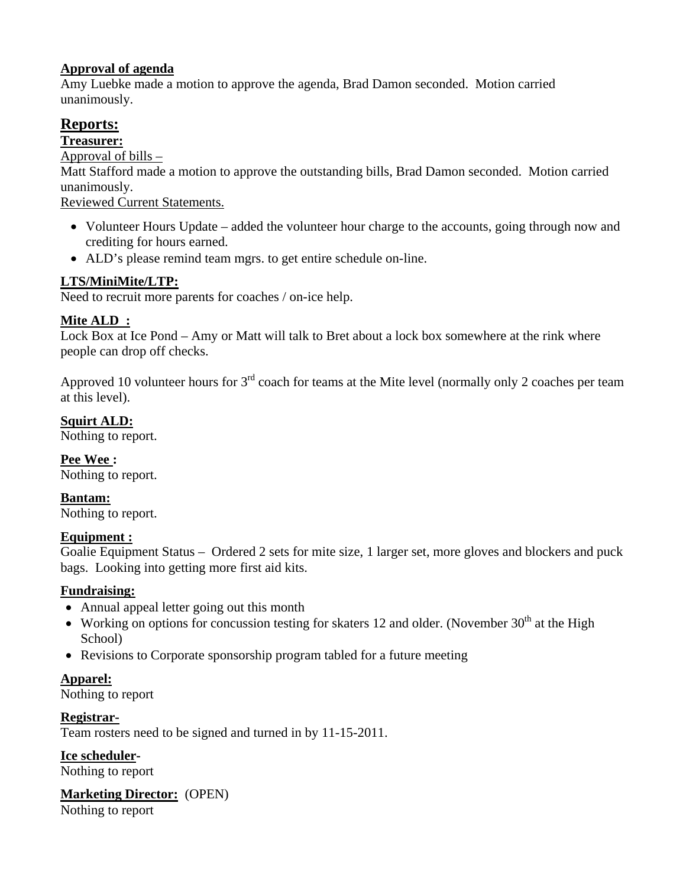# **Approval of agenda**

Amy Luebke made a motion to approve the agenda, Brad Damon seconded. Motion carried unanimously.

# **Reports:**

**Treasurer:** 

Approval of bills  $-$ 

Matt Stafford made a motion to approve the outstanding bills, Brad Damon seconded. Motion carried unanimously.

Reviewed Current Statements.

- Volunteer Hours Update added the volunteer hour charge to the accounts, going through now and crediting for hours earned.
- ALD's please remind team mgrs. to get entire schedule on-line.

# **LTS/MiniMite/LTP:**

Need to recruit more parents for coaches / on-ice help.

# **Mite ALD :**

Lock Box at Ice Pond – Amy or Matt will talk to Bret about a lock box somewhere at the rink where people can drop off checks.

Approved 10 volunteer hours for  $3<sup>rd</sup>$  coach for teams at the Mite level (normally only 2 coaches per team at this level).

# **Squirt ALD:**

Nothing to report.

**Pee Wee :**  Nothing to report.

**Bantam:** 

Nothing to report.

### **Equipment :**

Goalie Equipment Status – Ordered 2 sets for mite size, 1 larger set, more gloves and blockers and puck bags. Looking into getting more first aid kits.

# **Fundraising:**

- Annual appeal letter going out this month
- Working on options for concussion testing for skaters 12 and older. (November  $30<sup>th</sup>$  at the High School)
- Revisions to Corporate sponsorship program tabled for a future meeting

# **Apparel:**

Nothing to report

**Registrar-**

Team rosters need to be signed and turned in by 11-15-2011.

**Ice scheduler-**

Nothing to report

**Marketing Director:** (OPEN)

Nothing to report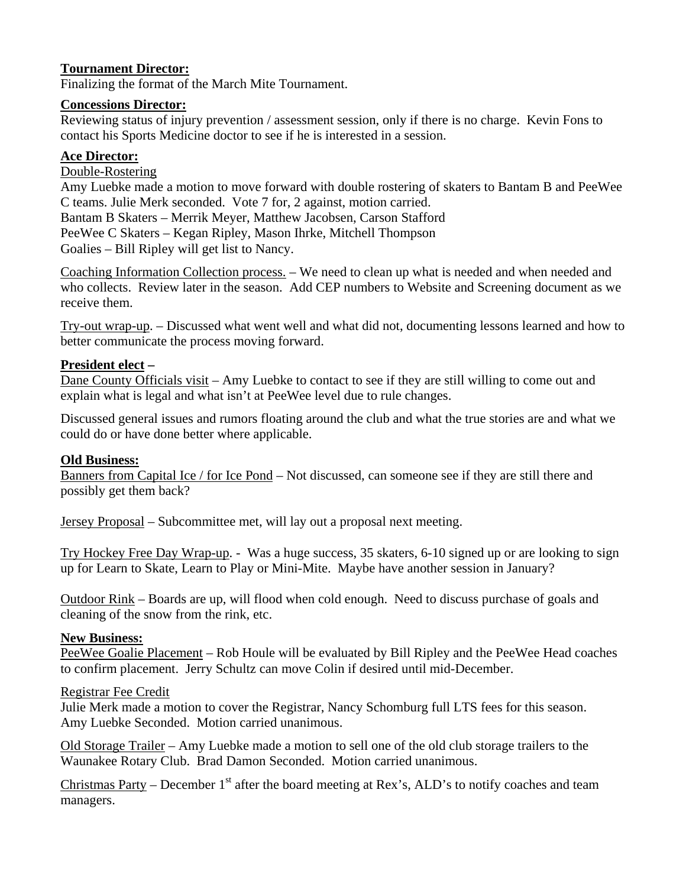# **Tournament Director:**

Finalizing the format of the March Mite Tournament.

### **Concessions Director:**

Reviewing status of injury prevention / assessment session, only if there is no charge. Kevin Fons to contact his Sports Medicine doctor to see if he is interested in a session.

### **Ace Director:**

### Double-Rostering

Amy Luebke made a motion to move forward with double rostering of skaters to Bantam B and PeeWee C teams. Julie Merk seconded. Vote 7 for, 2 against, motion carried.

Bantam B Skaters – Merrik Meyer, Matthew Jacobsen, Carson Stafford PeeWee C Skaters – Kegan Ripley, Mason Ihrke, Mitchell Thompson Goalies – Bill Ripley will get list to Nancy.

Coaching Information Collection process. – We need to clean up what is needed and when needed and who collects. Review later in the season. Add CEP numbers to Website and Screening document as we receive them.

Try-out wrap-up. – Discussed what went well and what did not, documenting lessons learned and how to better communicate the process moving forward.

### **President elect –**

Dane County Officials visit – Amy Luebke to contact to see if they are still willing to come out and explain what is legal and what isn't at PeeWee level due to rule changes.

Discussed general issues and rumors floating around the club and what the true stories are and what we could do or have done better where applicable.

### **Old Business:**

Banners from Capital Ice / for Ice Pond – Not discussed, can someone see if they are still there and possibly get them back?

Jersey Proposal – Subcommittee met, will lay out a proposal next meeting.

Try Hockey Free Day Wrap-up. - Was a huge success, 35 skaters, 6-10 signed up or are looking to sign up for Learn to Skate, Learn to Play or Mini-Mite. Maybe have another session in January?

Outdoor Rink – Boards are up, will flood when cold enough. Need to discuss purchase of goals and cleaning of the snow from the rink, etc.

### **New Business:**

PeeWee Goalie Placement – Rob Houle will be evaluated by Bill Ripley and the PeeWee Head coaches to confirm placement. Jerry Schultz can move Colin if desired until mid-December.

### Registrar Fee Credit

Julie Merk made a motion to cover the Registrar, Nancy Schomburg full LTS fees for this season. Amy Luebke Seconded. Motion carried unanimous.

Old Storage Trailer – Amy Luebke made a motion to sell one of the old club storage trailers to the Waunakee Rotary Club. Brad Damon Seconded. Motion carried unanimous.

Christmas Party – December  $1<sup>st</sup>$  after the board meeting at Rex's, ALD's to notify coaches and team managers.